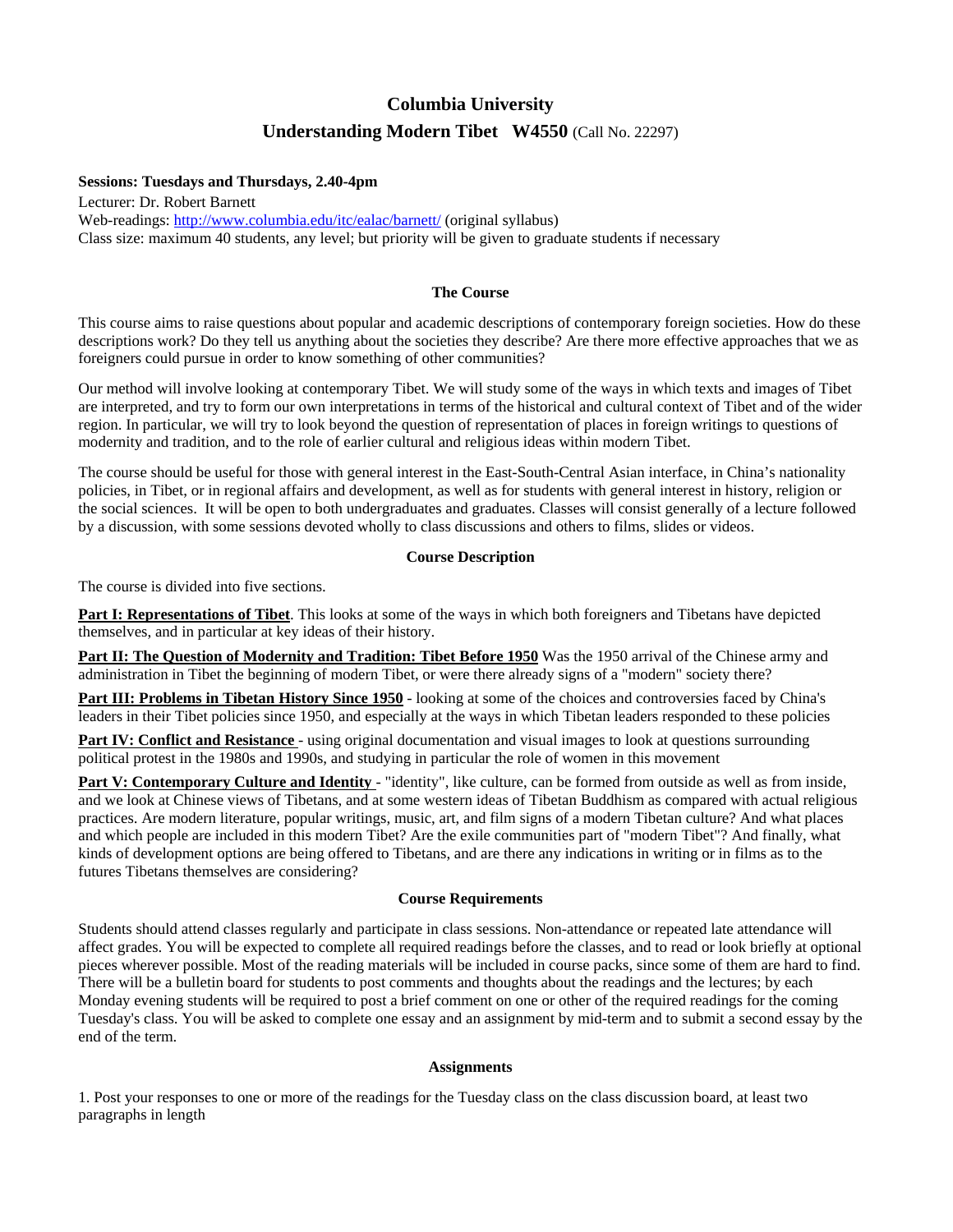# **Columbia University Understanding Modern Tibet W4550** (Call No. 22297)

#### **Sessions: Tuesdays and Thursdays, 2.40-4pm**

Lecturer: Dr. Robert Barnett Web-readings: <http://www.columbia.edu/itc/ealac/barnett/> (original syllabus) Class size: maximum 40 students, any level; but priority will be given to graduate students if necessary

#### **The Course**

This course aims to raise questions about popular and academic descriptions of contemporary foreign societies. How do these descriptions work? Do they tell us anything about the societies they describe? Are there more effective approaches that we as foreigners could pursue in order to know something of other communities?

Our method will involve looking at contemporary Tibet. We will study some of the ways in which texts and images of Tibet are interpreted, and try to form our own interpretations in terms of the historical and cultural context of Tibet and of the wider region. In particular, we will try to look beyond the question of representation of places in foreign writings to questions of modernity and tradition, and to the role of earlier cultural and religious ideas within modern Tibet.

The course should be useful for those with general interest in the East-South-Central Asian interface, in China's nationality policies, in Tibet, or in regional affairs and development, as well as for students with general interest in history, religion or the social sciences. It will be open to both undergraduates and graduates. Classes will consist generally of a lecture followed by a discussion, with some sessions devoted wholly to class discussions and others to films, slides or videos.

#### **Course Description**

The course is divided into five sections.

**Part I: Representations of Tibet**. This looks at some of the ways in which both foreigners and Tibetans have depicted themselves, and in particular at key ideas of their history.

**Part II: The Question of Modernity and Tradition: Tibet Before 1950** Was the 1950 arrival of the Chinese army and administration in Tibet the beginning of modern Tibet, or were there already signs of a "modern" society there?

**Part III: Problems in Tibetan History Since 1950** - looking at some of the choices and controversies faced by China's leaders in their Tibet policies since 1950, and especially at the ways in which Tibetan leaders responded to these policies

**Part IV: Conflict and Resistance** - using original documentation and visual images to look at questions surrounding political protest in the 1980s and 1990s, and studying in particular the role of women in this movement

**Part V: Contemporary Culture and Identity** - "identity", like culture, can be formed from outside as well as from inside, and we look at Chinese views of Tibetans, and at some western ideas of Tibetan Buddhism as compared with actual religious practices. Are modern literature, popular writings, music, art, and film signs of a modern Tibetan culture? And what places and which people are included in this modern Tibet? Are the exile communities part of "modern Tibet"? And finally, what kinds of development options are being offered to Tibetans, and are there any indications in writing or in films as to the futures Tibetans themselves are considering?

#### **Course Requirements**

Students should attend classes regularly and participate in class sessions. Non-attendance or repeated late attendance will affect grades. You will be expected to complete all required readings before the classes, and to read or look briefly at optional pieces wherever possible. Most of the reading materials will be included in course packs, since some of them are hard to find. There will be a bulletin board for students to post comments and thoughts about the readings and the lectures; by each Monday evening students will be required to post a brief comment on one or other of the required readings for the coming Tuesday's class. You will be asked to complete one essay and an assignment by mid-term and to submit a second essay by the end of the term.

#### **Assignments**

1. Post your responses to one or more of the readings for the Tuesday class on the class discussion board, at least two paragraphs in length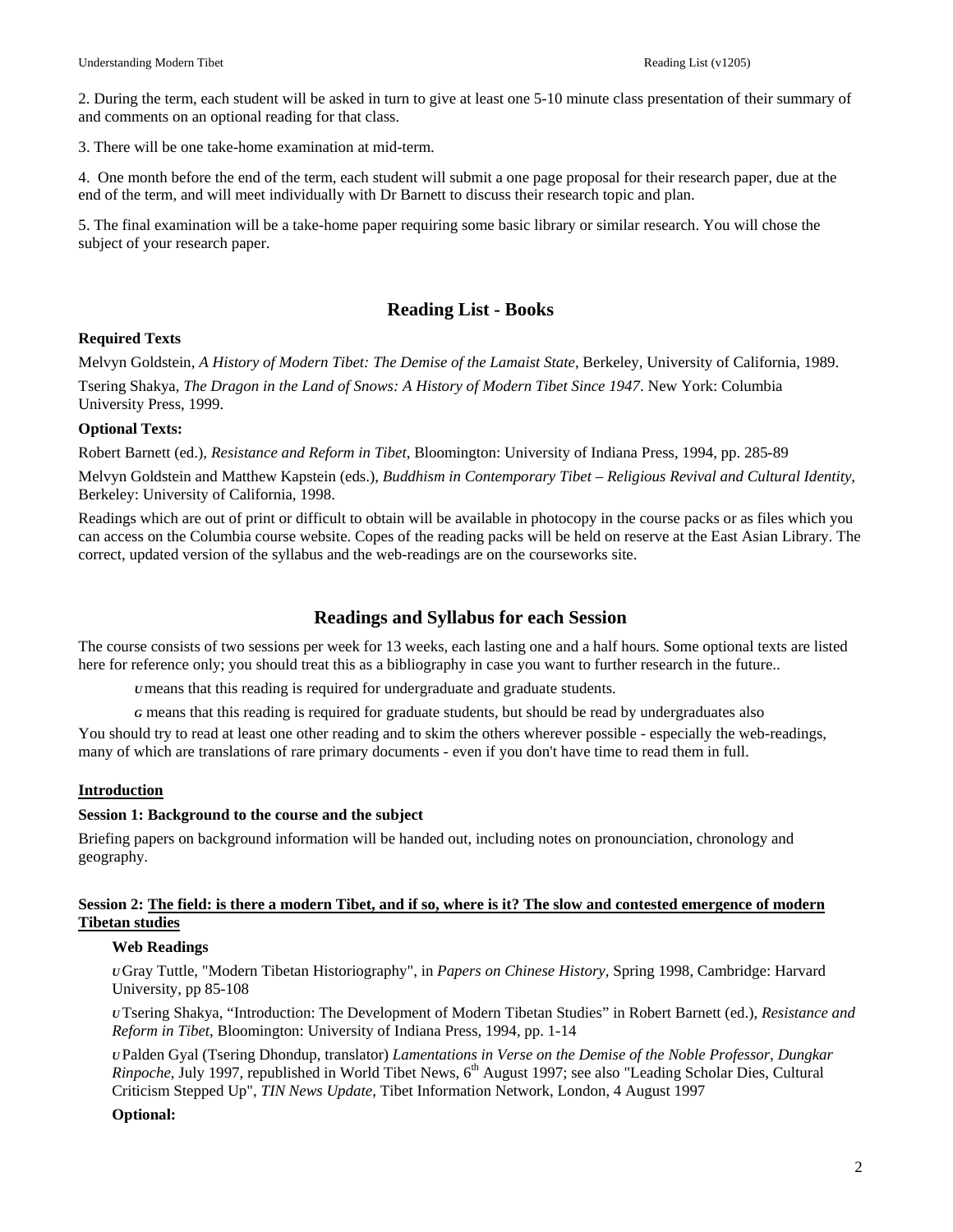2. During the term, each student will be asked in turn to give at least one 5-10 minute class presentation of their summary of and comments on an optional reading for that class.

3. There will be one take-home examination at mid-term.

4. One month before the end of the term, each student will submit a one page proposal for their research paper, due at the end of the term, and will meet individually with Dr Barnett to discuss their research topic and plan.

5. The final examination will be a take-home paper requiring some basic library or similar research. You will chose the subject of your research paper.

# **Reading List - Books**

#### **Required Texts**

Melvyn Goldstein, *A History of Modern Tibet: The Demise of the Lamaist State*, Berkeley, University of California, 1989.

Tsering Shakya, *The Dragon in the Land of Snows: A History of Modern Tibet Since 1947*. New York: Columbia University Press, 1999.

# **Optional Texts:**

Robert Barnett (ed.), *Resistance and Reform in Tibet*, Bloomington: University of Indiana Press, 1994, pp. 285-89

Melvyn Goldstein and Matthew Kapstein (eds.), *Buddhism in Contemporary Tibet – Religious Revival and Cultural Identity*, Berkeley: University of California, 1998.

Readings which are out of print or difficult to obtain will be available in photocopy in the course packs or as files which you can access on the Columbia course website. Copes of the reading packs will be held on reserve at the East Asian Library. The correct, updated version of the syllabus and the web-readings are on the courseworks site.

# **Readings and Syllabus for each Session**

The course consists of two sessions per week for 13 weeks, each lasting one and a half hours. Some optional texts are listed here for reference only; you should treat this as a bibliography in case you want to further research in the future..

*U*means that this reading is required for undergraduate and graduate students.

*G* means that this reading is required for graduate students, but should be read by undergraduates also

You should try to read at least one other reading and to skim the others wherever possible - especially the web-readings, many of which are translations of rare primary documents - even if you don't have time to read them in full.

# **Introduction**

#### **Session 1: Background to the course and the subject**

Briefing papers on background information will be handed out, including notes on pronounciation, chronology and geography.

#### **Session 2: The field: is there a modern Tibet, and if so, where is it? The slow and contested emergence of modern Tibetan studies**

#### **Web Readings**

*U* Gray Tuttle, "Modern Tibetan Historiography", in *Papers on Chinese History*, Spring 1998, Cambridge: Harvard University, pp 85-108

*U* Tsering Shakya, "Introduction: The Development of Modern Tibetan Studies" in Robert Barnett (ed.), *Resistance and Reform in Tibet*, Bloomington: University of Indiana Press, 1994, pp. 1-14

*U* Palden Gyal (Tsering Dhondup, translator) *Lamentations in Verse on the Demise of the Noble Professor, Dungkar Rinpoche*, July 1997, republished in World Tibet News, 6<sup>th</sup> August 1997; see also "Leading Scholar Dies, Cultural Criticism Stepped Up", *TIN News Update*, Tibet Information Network, London, 4 August 1997

# **Optional:**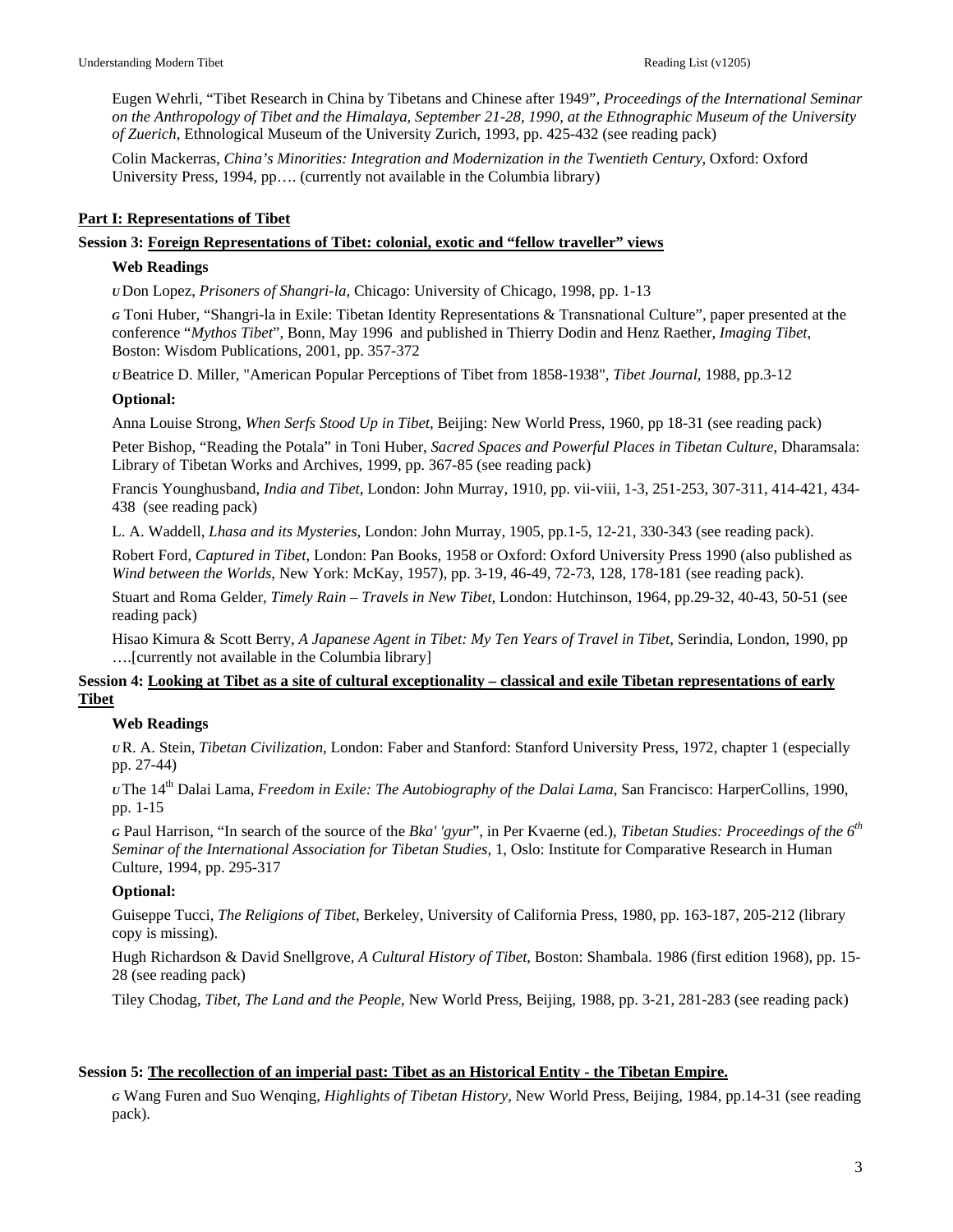Eugen Wehrli, "Tibet Research in China by Tibetans and Chinese after 1949", *Proceedings of the International Seminar on the Anthropology of Tibet and the Himalaya, September 21-28, 1990, at the Ethnographic Museum of the University of Zuerich*, Ethnological Museum of the University Zurich, 1993, pp. 425-432 (see reading pack)

Colin Mackerras, *China's Minorities: Integration and Modernization in the Twentieth Century*, Oxford: Oxford University Press, 1994, pp…. (currently not available in the Columbia library)

# **Part I: Representations of Tibet**

# **Session 3: Foreign Representations of Tibet: colonial, exotic and "fellow traveller" views**

#### **Web Readings**

*U* Don Lopez, *Prisoners of Shangri-la*, Chicago: University of Chicago, 1998, pp. 1-13

*G* Toni Huber, "Shangri-la in Exile: Tibetan Identity Representations & Transnational Culture", paper presented at the conference "*Mythos Tibet*", Bonn, May 1996 and published in Thierry Dodin and Henz Raether, *Imaging Tibet*, Boston: Wisdom Publications, 2001, pp. 357-372

*U* Beatrice D. Miller, "American Popular Perceptions of Tibet from 1858-1938", *Tibet Journal,* 1988, pp.3-12

#### **Optional:**

Anna Louise Strong, *When Serfs Stood Up in Tibet*, Beijing: New World Press, 1960, pp 18-31 (see reading pack)

Peter Bishop, "Reading the Potala" in Toni Huber, *Sacred Spaces and Powerful Places in Tibetan Culture*, Dharamsala: Library of Tibetan Works and Archives, 1999, pp. 367-85 (see reading pack)

Francis Younghusband, *India and Tibet*, London: John Murray, 1910, pp. vii-viii, 1-3, 251-253, 307-311, 414-421, 434- 438 (see reading pack)

L. A. Waddell, *Lhasa and its Mysteries*, London: John Murray, 1905, pp.1-5, 12-21, 330-343 (see reading pack).

Robert Ford, *Captured in Tibet*, London: Pan Books, 1958 or Oxford: Oxford University Press 1990 (also published as *Wind between the Worlds*, New York: McKay, 1957), pp. 3-19, 46-49, 72-73, 128, 178-181 (see reading pack).

Stuart and Roma Gelder, *Timely Rain – Travels in New Tibet*, London: Hutchinson, 1964, pp.29-32, 40-43, 50-51 (see reading pack)

Hisao Kimura & Scott Berry, *A Japanese Agent in Tibet: My Ten Years of Travel in Tibet*, Serindia, London, 1990, pp ….[currently not available in the Columbia library]

# **Session 4: Looking at Tibet as a site of cultural exceptionality – classical and exile Tibetan representations of early Tibet**

# **Web Readings**

*U* R. A. Stein, *Tibetan Civilization*, London: Faber and Stanford: Stanford University Press, 1972, chapter 1 (especially pp. 27-44)

*<sup>U</sup>* The 14th Dalai Lama, *Freedom in Exile: The Autobiography of the Dalai Lama*, San Francisco: HarperCollins, 1990, pp. 1-15

*<sup>G</sup>* Paul Harrison, "In search of the source of the *Bka' 'gyur*", in Per Kvaerne (ed.), *Tibetan Studies: Proceedings of the 6th Seminar of the International Association for Tibetan Studies*, 1, Oslo: Institute for Comparative Research in Human Culture, 1994, pp. 295-317

# **Optional:**

Guiseppe Tucci, *The Religions of Tibet*, Berkeley, University of California Press, 1980, pp. 163-187, 205-212 (library copy is missing).

Hugh Richardson & David Snellgrove, *A Cultural History of Tibet*, Boston: Shambala. 1986 (first edition 1968), pp. 15- 28 (see reading pack)

Tiley Chodag, *Tibet, The Land and the People*, New World Press, Beijing, 1988, pp. 3-21, 281-283 (see reading pack)

# **Session 5: The recollection of an imperial past: Tibet as an Historical Entity - the Tibetan Empire.**

*G* Wang Furen and Suo Wenqing, *Highlights of Tibetan History*, New World Press, Beijing, 1984, pp.14-31 (see reading pack).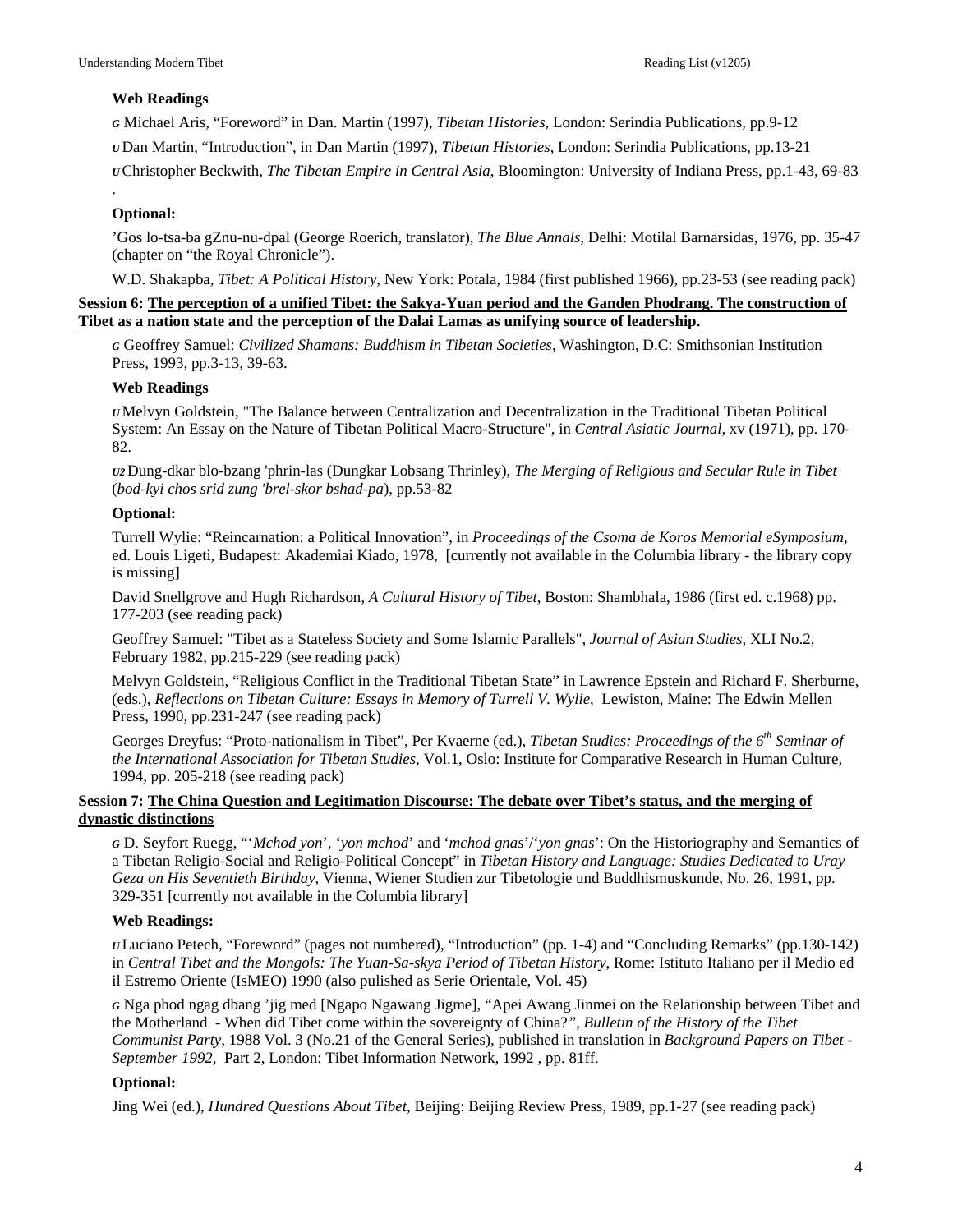# **Web Readings**

*G* Michael Aris, "Foreword" in Dan. Martin (1997), *Tibetan Histories*, London: Serindia Publications, pp.9-12 *U* Dan Martin, "Introduction", in Dan Martin (1997), *Tibetan Histories*, London: Serindia Publications, pp.13-21 *U* Christopher Beckwith, *The Tibetan Empire in Central Asia*, Bloomington: University of Indiana Press, pp.1-43, 69-83

# **Optional:**

.

'Gos lo-tsa-ba gZnu-nu-dpal (George Roerich, translator), *The Blue Annals*, Delhi: Motilal Barnarsidas, 1976, pp. 35-47 (chapter on "the Royal Chronicle").

W.D. Shakapba, *Tibet: A Political History*, New York: Potala, 1984 (first published 1966), pp.23-53 (see reading pack)

# **Session 6: The perception of a unified Tibet: the Sakya-Yuan period and the Ganden Phodrang. The construction of Tibet as a nation state and the perception of the Dalai Lamas as unifying source of leadership.**

*G* Geoffrey Samuel: *Civilized Shamans: Buddhism in Tibetan Societies*, Washington, D.C: Smithsonian Institution Press, 1993, pp.3-13, 39-63.

# **Web Readings**

*U*Melvyn Goldstein, "The Balance between Centralization and Decentralization in the Traditional Tibetan Political System: An Essay on the Nature of Tibetan Political Macro-Structure", in *Central Asiatic Journal*, xv (1971), pp. 170- 82.

*U2*Dung-dkar blo-bzang 'phrin-las (Dungkar Lobsang Thrinley), *The Merging of Religious and Secular Rule in Tibet* (*bod-kyi chos srid zung 'brel-skor bshad-pa*), pp.53-82

# **Optional:**

Turrell Wylie: "Reincarnation: a Political Innovation", in *Proceedings of the Csoma de Koros Memorial eSymposium*, ed. Louis Ligeti, Budapest: Akademiai Kiado, 1978, [currently not available in the Columbia library - the library copy is missing]

David Snellgrove and Hugh Richardson, *A Cultural History of Tibet*, Boston: Shambhala, 1986 (first ed. c.1968) pp. 177-203 (see reading pack)

Geoffrey Samuel: "Tibet as a Stateless Society and Some Islamic Parallels", *Journal of Asian Studies*, XLI No.2, February 1982, pp.215-229 (see reading pack)

Melvyn Goldstein, "Religious Conflict in the Traditional Tibetan State" in Lawrence Epstein and Richard F. Sherburne, (eds.), *Reflections on Tibetan Culture: Essays in Memory of Turrell V. Wylie*, Lewiston, Maine: The Edwin Mellen Press, 1990, pp.231-247 (see reading pack)

Georges Dreyfus: "Proto-nationalism in Tibet", Per Kvaerne (ed.), *Tibetan Studies: Proceedings of the 6th Seminar of the International Association for Tibetan Studies*, Vol.1, Oslo: Institute for Comparative Research in Human Culture, 1994, pp. 205-218 (see reading pack)

# **Session 7: The China Question and Legitimation Discourse: The debate over Tibet's status, and the merging of dynastic distinctions**

*G* D. Seyfort Ruegg, "'*Mchod yon*', '*yon mchod*' and '*mchod gnas*'/'*yon gnas*': On the Historiography and Semantics of a Tibetan Religio-Social and Religio-Political Concept" in *Tibetan History and Language: Studies Dedicated to Uray Geza on His Seventieth Birthday*, Vienna, Wiener Studien zur Tibetologie und Buddhismuskunde, No. 26, 1991, pp. 329-351 [currently not available in the Columbia library]

# **Web Readings:**

*U* Luciano Petech, "Foreword" (pages not numbered), "Introduction" (pp. 1-4) and "Concluding Remarks" (pp.130-142) in *Central Tibet and the Mongols: The Yuan-Sa-skya Period of Tibetan History*, Rome: Istituto Italiano per il Medio ed il Estremo Oriente (IsMEO) 1990 (also pulished as Serie Orientale, Vol. 45)

*G* Nga phod ngag dbang 'jig med [Ngapo Ngawang Jigme], "Apei Awang Jinmei on the Relationship between Tibet and the Motherland - When did Tibet come within the sovereignty of China?*", Bulletin of the History of the Tibet Communist Party*, 1988 Vol. 3 (No.21 of the General Series), published in translation in *Background Papers on Tibet - September 1992*, Part 2, London: Tibet Information Network, 1992 , pp. 81ff.

# **Optional:**

Jing Wei (ed.), *Hundred Questions About Tibet*, Beijing: Beijing Review Press, 1989, pp.1-27 (see reading pack)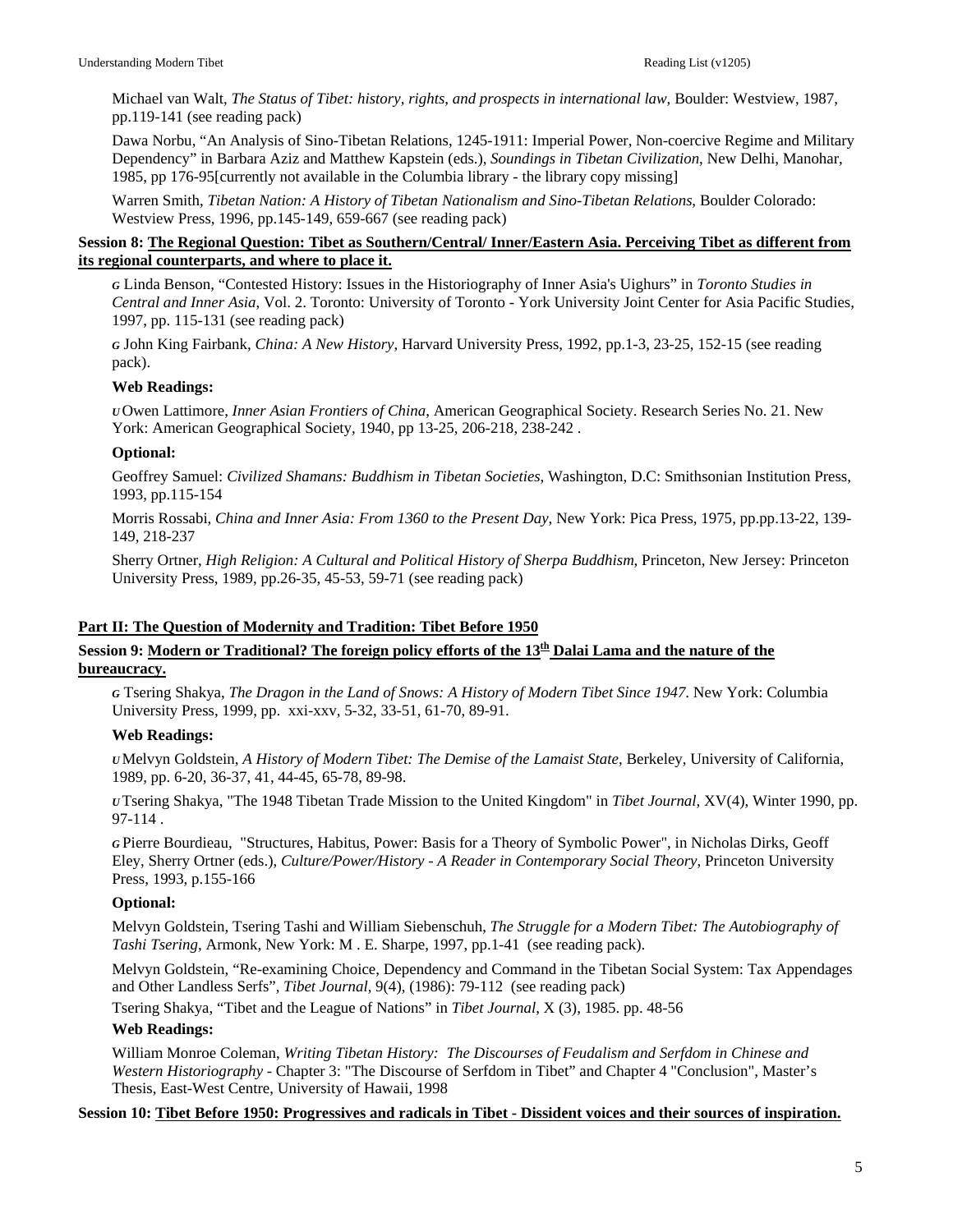Michael van Walt, *The Status of Tibet: history, rights, and prospects in international law*, Boulder: Westview, 1987, pp.119-141 (see reading pack)

Dawa Norbu, "An Analysis of Sino-Tibetan Relations, 1245-1911: Imperial Power, Non-coercive Regime and Military Dependency" in Barbara Aziz and Matthew Kapstein (eds.), *Soundings in Tibetan Civilization*, New Delhi, Manohar, 1985, pp 176-95[currently not available in the Columbia library - the library copy missing]

Warren Smith, *Tibetan Nation: A History of Tibetan Nationalism and Sino-Tibetan Relations*, Boulder Colorado: Westview Press, 1996, pp.145-149, 659-667 (see reading pack)

# **Session 8: The Regional Question: Tibet as Southern/Central/ Inner/Eastern Asia. Perceiving Tibet as different from its regional counterparts, and where to place it.**

*G* Linda Benson, "Contested History: Issues in the Historiography of Inner Asia's Uighurs" in *Toronto Studies in Central and Inner Asia*, Vol. 2. Toronto: University of Toronto - York University Joint Center for Asia Pacific Studies, 1997, pp. 115-131 (see reading pack)

*G* John King Fairbank, *China: A New History*, Harvard University Press, 1992, pp.1-3, 23-25, 152-15 (see reading pack).

# **Web Readings:**

*U* Owen Lattimore, *Inner Asian Frontiers of China*, American Geographical Society. Research Series No. 21. New York: American Geographical Society, 1940, pp 13-25, 206-218, 238-242 .

#### **Optional:**

Geoffrey Samuel: *Civilized Shamans: Buddhism in Tibetan Societies*, Washington, D.C: Smithsonian Institution Press, 1993, pp.115-154

Morris Rossabi, *China and Inner Asia: From 1360 to the Present Day*, New York: Pica Press, 1975, pp.pp.13-22, 139- 149, 218-237

Sherry Ortner, *High Religion: A Cultural and Political History of Sherpa Buddhism*, Princeton, New Jersey: Princeton University Press, 1989, pp.26-35, 45-53, 59-71 (see reading pack)

# **Part II: The Question of Modernity and Tradition: Tibet Before 1950**

# **Session 9: Modern or Traditional? The foreign policy efforts of the 13th Dalai Lama and the nature of the bureaucracy.**

*G* Tsering Shakya, *The Dragon in the Land of Snows: A History of Modern Tibet Since 1947*. New York: Columbia University Press, 1999, pp. xxi-xxv, 5-32, 33-51, 61-70, 89-91.

# **Web Readings:**

*U*Melvyn Goldstein, *A History of Modern Tibet: The Demise of the Lamaist State*, Berkeley, University of California, 1989, pp. 6-20, 36-37, 41, 44-45, 65-78, 89-98.

*U* Tsering Shakya, "The 1948 Tibetan Trade Mission to the United Kingdom" in *Tibet Journal,* XV(4), Winter 1990, pp. 97-114 .

*G* Pierre Bourdieau, "Structures, Habitus, Power: Basis for a Theory of Symbolic Power", in Nicholas Dirks, Geoff Eley, Sherry Ortner (eds.), *Culture/Power/History - A Reader in Contemporary Social Theory*, Princeton University Press, 1993, p.155-166

# **Optional:**

Melvyn Goldstein, Tsering Tashi and William Siebenschuh, *The Struggle for a Modern Tibet: The Autobiography of Tashi Tsering*, Armonk, New York: M . E. Sharpe, 1997, pp.1-41 (see reading pack).

Melvyn Goldstein, "Re-examining Choice, Dependency and Command in the Tibetan Social System: Tax Appendages and Other Landless Serfs", *Tibet Journal*, 9(4), (1986): 79-112 (see reading pack)

Tsering Shakya, "Tibet and the League of Nations" in *Tibet Journal*, X (3), 1985. pp. 48-56

#### **Web Readings:**

William Monroe Coleman, *Writing Tibetan History: The Discourses of Feudalism and Serfdom in Chinese and Western Historiography* - Chapter 3: "The Discourse of Serfdom in Tibet" and Chapter 4 "Conclusion", Master's Thesis, East-West Centre, University of Hawaii, 1998

#### **Session 10: Tibet Before 1950: Progressives and radicals in Tibet - Dissident voices and their sources of inspiration.**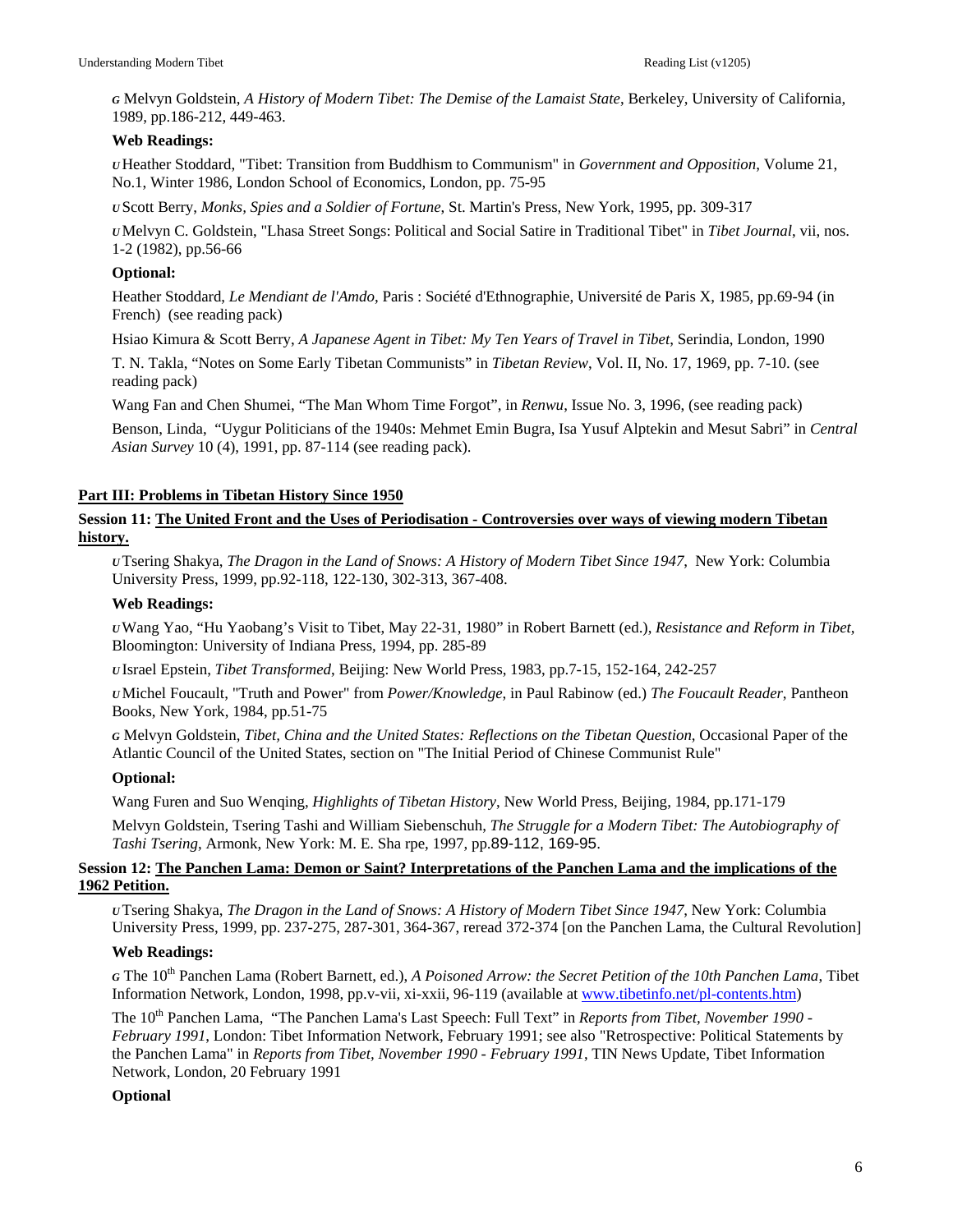*G* Melvyn Goldstein, *A History of Modern Tibet: The Demise of the Lamaist State*, Berkeley, University of California, 1989, pp.186-212, 449-463.

# **Web Readings:**

*U* Heather Stoddard, "Tibet: Transition from Buddhism to Communism" in *Government and Opposition*, Volume 21, No.1, Winter 1986, London School of Economics, London, pp. 75-95

*U* Scott Berry, *Monks, Spies and a Soldier of Fortune*, St. Martin's Press, New York, 1995, pp. 309-317

*U*Melvyn C. Goldstein, "Lhasa Street Songs: Political and Social Satire in Traditional Tibet" in *Tibet Journal*, vii, nos. 1-2 (1982), pp.56-66

# **Optional:**

Heather Stoddard, *Le Mendiant de l'Amdo*, Paris : Société d'Ethnographie, Université de Paris X, 1985, pp.69-94 (in French) (see reading pack)

Hsiao Kimura & Scott Berry, *A Japanese Agent in Tibet: My Ten Years of Travel in Tibet*, Serindia, London, 1990

T. N. Takla, "Notes on Some Early Tibetan Communists" in *Tibetan Review*, Vol. II, No. 17, 1969, pp. 7-10. (see reading pack)

Wang Fan and Chen Shumei, "The Man Whom Time Forgot", in *Renwu*, Issue No. 3, 1996, (see reading pack)

Benson, Linda, "Uygur Politicians of the 1940s: Mehmet Emin Bugra, Isa Yusuf Alptekin and Mesut Sabri" in *Central Asian Survey* 10 (4), 1991, pp. 87-114 (see reading pack).

# **Part III: Problems in Tibetan History Since 1950**

# **Session 11: The United Front and the Uses of Periodisation - Controversies over ways of viewing modern Tibetan history.**

*U* Tsering Shakya, *The Dragon in the Land of Snows: A History of Modern Tibet Since 1947*, New York: Columbia University Press, 1999, pp.92-118, 122-130, 302-313, 367-408.

# **Web Readings:**

*U*Wang Yao, "Hu Yaobang's Visit to Tibet, May 22-31, 1980" in Robert Barnett (ed.), *Resistance and Reform in Tibet*, Bloomington: University of Indiana Press, 1994, pp. 285-89

*U* Israel Epstein, *Tibet Transformed*, Beijing: New World Press, 1983, pp.7-15, 152-164, 242-257

*U*Michel Foucault, "Truth and Power" from *Power/Knowledge*, in Paul Rabinow (ed.) *The Foucault Reader*, Pantheon Books, New York, 1984, pp.51-75

*G* Melvyn Goldstein, *Tibet, China and the United States: Reflections on the Tibetan Question*, Occasional Paper of the Atlantic Council of the United States, section on "The Initial Period of Chinese Communist Rule"

# **Optional:**

Wang Furen and Suo Wenqing, *Highlights of Tibetan History*, New World Press, Beijing, 1984, pp.171-179

Melvyn Goldstein, Tsering Tashi and William Siebenschuh, *The Struggle for a Modern Tibet: The Autobiography of Tashi Tsering*, Armonk, New York: M. E. Sha rpe, 1997, pp.89-112, 169-95.

# **Session 12: The Panchen Lama: Demon or Saint? Interpretations of the Panchen Lama and the implications of the 1962 Petition.**

*U* Tsering Shakya, *The Dragon in the Land of Snows: A History of Modern Tibet Since 1947*, New York: Columbia University Press, 1999, pp. 237-275, 287-301, 364-367, reread 372-374 [on the Panchen Lama, the Cultural Revolution]

# **Web Readings:**

*<sup>G</sup>* The 10th Panchen Lama (Robert Barnett, ed.), *A Poisoned Arrow: the Secret Petition of the 10th Panchen Lama*, Tibet Information Network, London, 1998, pp.v-vii, xi-xxii, 96-119 (available at [www.tibetinfo.net/pl-contents.htm\)](http://www.tibetinfo.net/pl-contents.htm)

The 10<sup>th</sup> Panchen Lama, "The Panchen Lama's Last Speech: Full Text" in *Reports from Tibet, November 1990 -February 1991*, London: Tibet Information Network, February 1991; see also "Retrospective: Political Statements by the Panchen Lama" in *Reports from Tibet, November 1990 - February 1991*, TIN News Update, Tibet Information Network, London, 20 February 1991

# **Optional**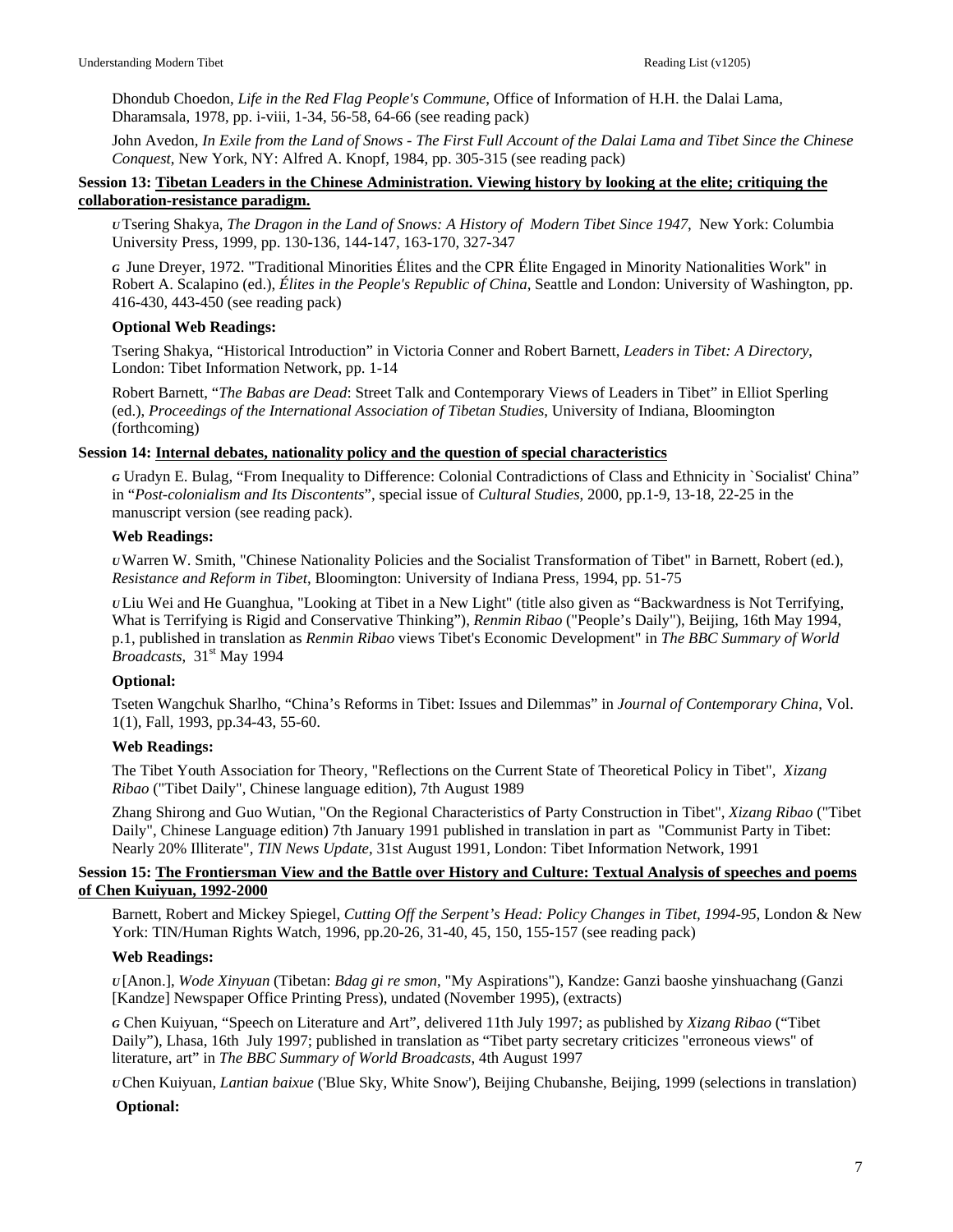Dhondub Choedon, *Life in the Red Flag People's Commune*, Office of Information of H.H. the Dalai Lama, Dharamsala, 1978, pp. i-viii, 1-34, 56-58, 64-66 (see reading pack)

John Avedon, *In Exile from the Land of Snows - The First Full Account of the Dalai Lama and Tibet Since the Chinese Conquest*, New York, NY: Alfred A. Knopf, 1984, pp. 305-315 (see reading pack)

# **Session 13: Tibetan Leaders in the Chinese Administration. Viewing history by looking at the elite; critiquing the collaboration-resistance paradigm.**

*U* Tsering Shakya, *The Dragon in the Land of Snows: A History of Modern Tibet Since 1947*, New York: Columbia University Press, 1999, pp. 130-136, 144-147, 163-170, 327-347

*G* June Dreyer, 1972. "Traditional Minorities Élites and the CPR Élite Engaged in Minority Nationalities Work" in Robert A. Scalapino (ed.), *Élites in the People's Republic of China*, Seattle and London: University of Washington, pp. 416-430, 443-450 (see reading pack)

# **Optional Web Readings:**

Tsering Shakya, "Historical Introduction" in Victoria Conner and Robert Barnett, *Leaders in Tibet: A Directory*, London: Tibet Information Network, pp. 1-14

Robert Barnett, "*The Babas are Dead*: Street Talk and Contemporary Views of Leaders in Tibet" in Elliot Sperling (ed.), *Proceedings of the International Association of Tibetan Studies*, University of Indiana, Bloomington (forthcoming)

# **Session 14: Internal debates, nationality policy and the question of special characteristics**

*G* Uradyn E. Bulag, "From Inequality to Difference: Colonial Contradictions of Class and Ethnicity in `Socialist' China" in "*Post-colonialism and Its Discontents*", special issue of *Cultural Studies*, 2000, pp.1-9, 13-18, 22-25 in the manuscript version (see reading pack).

# **Web Readings:**

*U*Warren W. Smith, "Chinese Nationality Policies and the Socialist Transformation of Tibet" in Barnett, Robert (ed.), *Resistance and Reform in Tibet*, Bloomington: University of Indiana Press, 1994, pp. 51-75

*U* Liu Wei and He Guanghua, "Looking at Tibet in a New Light" (title also given as "Backwardness is Not Terrifying, What is Terrifying is Rigid and Conservative Thinking"), *Renmin Ribao* ("People's Daily"), Beijing, 16th May 1994, p.1, published in translation as *Renmin Ribao* views Tibet's Economic Development" in *The BBC Summary of World Broadcasts*, 31<sup>st</sup> May 1994

# **Optional:**

Tseten Wangchuk Sharlho, "China's Reforms in Tibet: Issues and Dilemmas" in *Journal of Contemporary China*, Vol. 1(1), Fall, 1993, pp.34-43, 55-60.

# **Web Readings:**

The Tibet Youth Association for Theory, "Reflections on the Current State of Theoretical Policy in Tibet", *Xizang Ribao* ("Tibet Daily", Chinese language edition), 7th August 1989

Zhang Shirong and Guo Wutian, "On the Regional Characteristics of Party Construction in Tibet", *Xizang Ribao* ("Tibet Daily", Chinese Language edition) 7th January 1991 published in translation in part as "Communist Party in Tibet: Nearly 20% Illiterate", *TIN News Update*, 31st August 1991, London: Tibet Information Network, 1991

# **Session 15: The Frontiersman View and the Battle over History and Culture: Textual Analysis of speeches and poems of Chen Kuiyuan, 1992-2000**

Barnett, Robert and Mickey Spiegel, *Cutting Off the Serpent's Head: Policy Changes in Tibet, 1994-95*, London & New York: TIN/Human Rights Watch, 1996, pp.20-26, 31-40, 45, 150, 155-157 (see reading pack)

# **Web Readings:**

*U* [Anon.], *Wode Xinyuan* (Tibetan: *Bdag gi re smon*, "My Aspirations"), Kandze: Ganzi baoshe yinshuachang (Ganzi [Kandze] Newspaper Office Printing Press), undated (November 1995), (extracts)

*G* Chen Kuiyuan, "Speech on Literature and Art", delivered 11th July 1997; as published by *Xizang Ribao* ("Tibet Daily"), Lhasa, 16th July 1997; published in translation as "Tibet party secretary criticizes "erroneous views" of literature, art" in *The BBC Summary of World Broadcasts*, 4th August 1997

*U* Chen Kuiyuan, *Lantian baixue* ('Blue Sky, White Snow'), Beijing Chubanshe, Beijing, 1999 (selections in translation)

# **Optional:**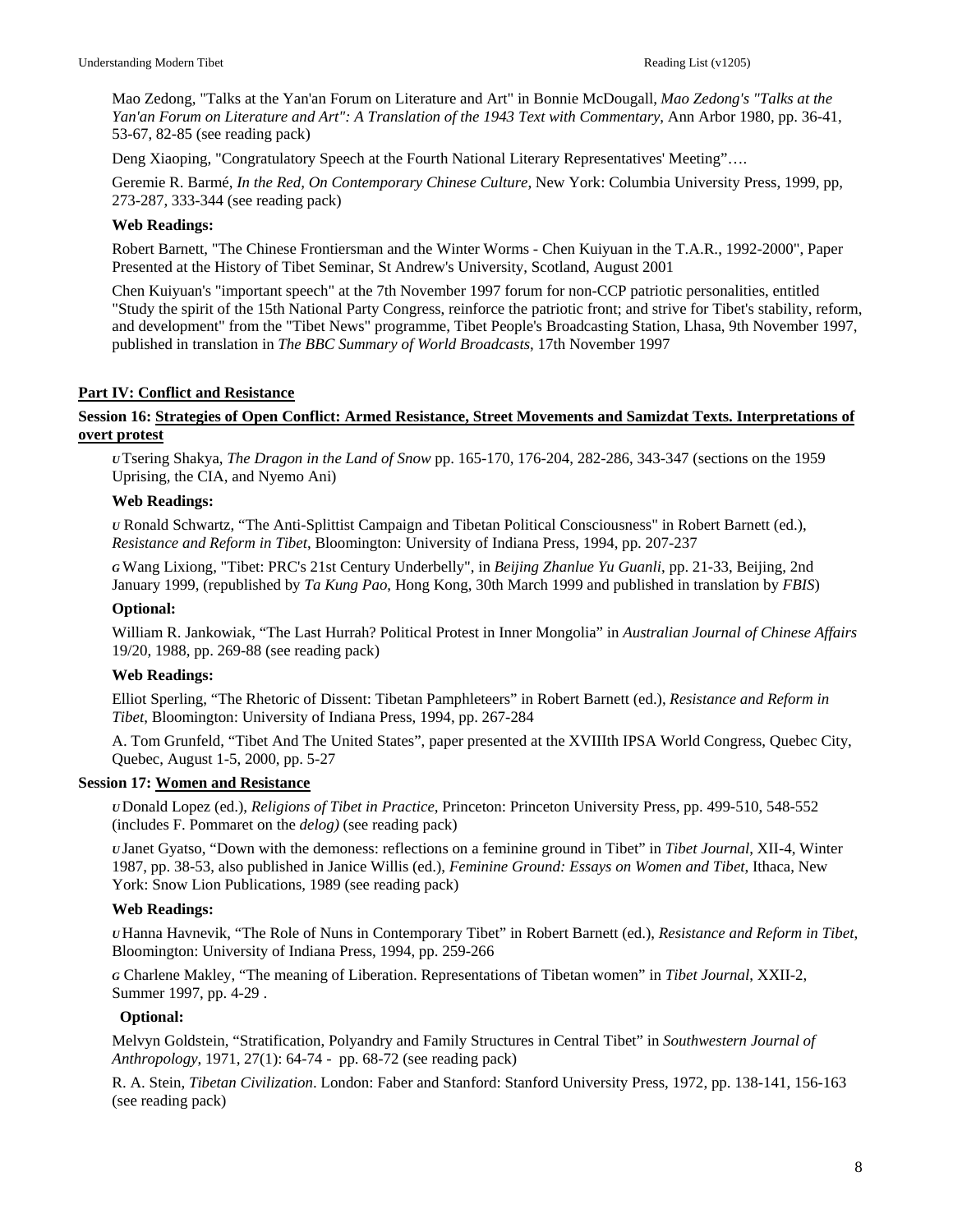Mao Zedong, "Talks at the Yan'an Forum on Literature and Art" in Bonnie McDougall, *Mao Zedong's "Talks at the Yan'an Forum on Literature and Art": A Translation of the 1943 Text with Commentary*, Ann Arbor 1980, pp. 36-41, 53-67, 82-85 (see reading pack)

Deng Xiaoping, "Congratulatory Speech at the Fourth National Literary Representatives' Meeting"….

Geremie R. Barmé, *In the Red, On Contemporary Chinese Culture*, New York: Columbia University Press, 1999, pp, 273-287, 333-344 (see reading pack)

#### **Web Readings:**

Robert Barnett, "The Chinese Frontiersman and the Winter Worms - Chen Kuiyuan in the T.A.R., 1992-2000", Paper Presented at the History of Tibet Seminar, St Andrew's University, Scotland, August 2001

Chen Kuiyuan's "important speech" at the 7th November 1997 forum for non-CCP patriotic personalities, entitled "Study the spirit of the 15th National Party Congress, reinforce the patriotic front; and strive for Tibet's stability, reform, and development" from the "Tibet News" programme, Tibet People's Broadcasting Station, Lhasa, 9th November 1997, published in translation in *The BBC Summary of World Broadcasts*, 17th November 1997

# **Part IV: Conflict and Resistance**

#### **Session 16: Strategies of Open Conflict: Armed Resistance, Street Movements and Samizdat Texts. Interpretations of overt protest**

*U* Tsering Shakya, *The Dragon in the Land of Snow* pp. 165-170, 176-204, 282-286, 343-347 (sections on the 1959 Uprising, the CIA, and Nyemo Ani)

#### **Web Readings:**

*U* Ronald Schwartz, "The Anti-Splittist Campaign and Tibetan Political Consciousness" in Robert Barnett (ed.), *Resistance and Reform in Tibet*, Bloomington: University of Indiana Press, 1994, pp. 207-237

*G* Wang Lixiong, "Tibet: PRC's 21st Century Underbelly", in *Beijing Zhanlue Yu Guanli*, pp. 21-33, Beijing, 2nd January 1999, (republished by *Ta Kung Pao*, Hong Kong, 30th March 1999 and published in translation by *FBIS*)

#### **Optional:**

William R. Jankowiak, "The Last Hurrah? Political Protest in Inner Mongolia" in *Australian Journal of Chinese Affairs* 19/20, 1988, pp. 269-88 (see reading pack)

#### **Web Readings:**

Elliot Sperling, "The Rhetoric of Dissent: Tibetan Pamphleteers" in Robert Barnett (ed.), *Resistance and Reform in Tibet*, Bloomington: University of Indiana Press, 1994, pp. 267-284

A. Tom Grunfeld, "Tibet And The United States", paper presented at the XVIIIth IPSA World Congress, Quebec City, Quebec, August 1-5, 2000, pp. 5-27

#### **Session 17: Women and Resistance**

*U* Donald Lopez (ed.), *Religions of Tibet in Practice*, Princeton: Princeton University Press, pp. 499-510, 548-552 (includes F. Pommaret on the *delog)* (see reading pack)

*U* Janet Gyatso, "Down with the demoness: reflections on a feminine ground in Tibet" in *Tibet Journal*, XII-4, Winter 1987, pp. 38-53, also published in Janice Willis (ed.), *Feminine Ground: Essays on Women and Tibet*, Ithaca, New York: Snow Lion Publications, 1989 (see reading pack)

# **Web Readings:**

*U* Hanna Havnevik, "The Role of Nuns in Contemporary Tibet" in Robert Barnett (ed.), *Resistance and Reform in Tibet*, Bloomington: University of Indiana Press, 1994, pp. 259-266

*G* Charlene Makley, "The meaning of Liberation. Representations of Tibetan women" in *Tibet Journal*, XXII-2, Summer 1997, pp. 4-29 .

#### **Optional:**

Melvyn Goldstein, "Stratification, Polyandry and Family Structures in Central Tibet" in *Southwestern Journal of Anthropology*, 1971, 27(1): 64-74 - pp. 68-72 (see reading pack)

R. A. Stein, *Tibetan Civilization*. London: Faber and Stanford: Stanford University Press, 1972, pp. 138-141, 156-163 (see reading pack)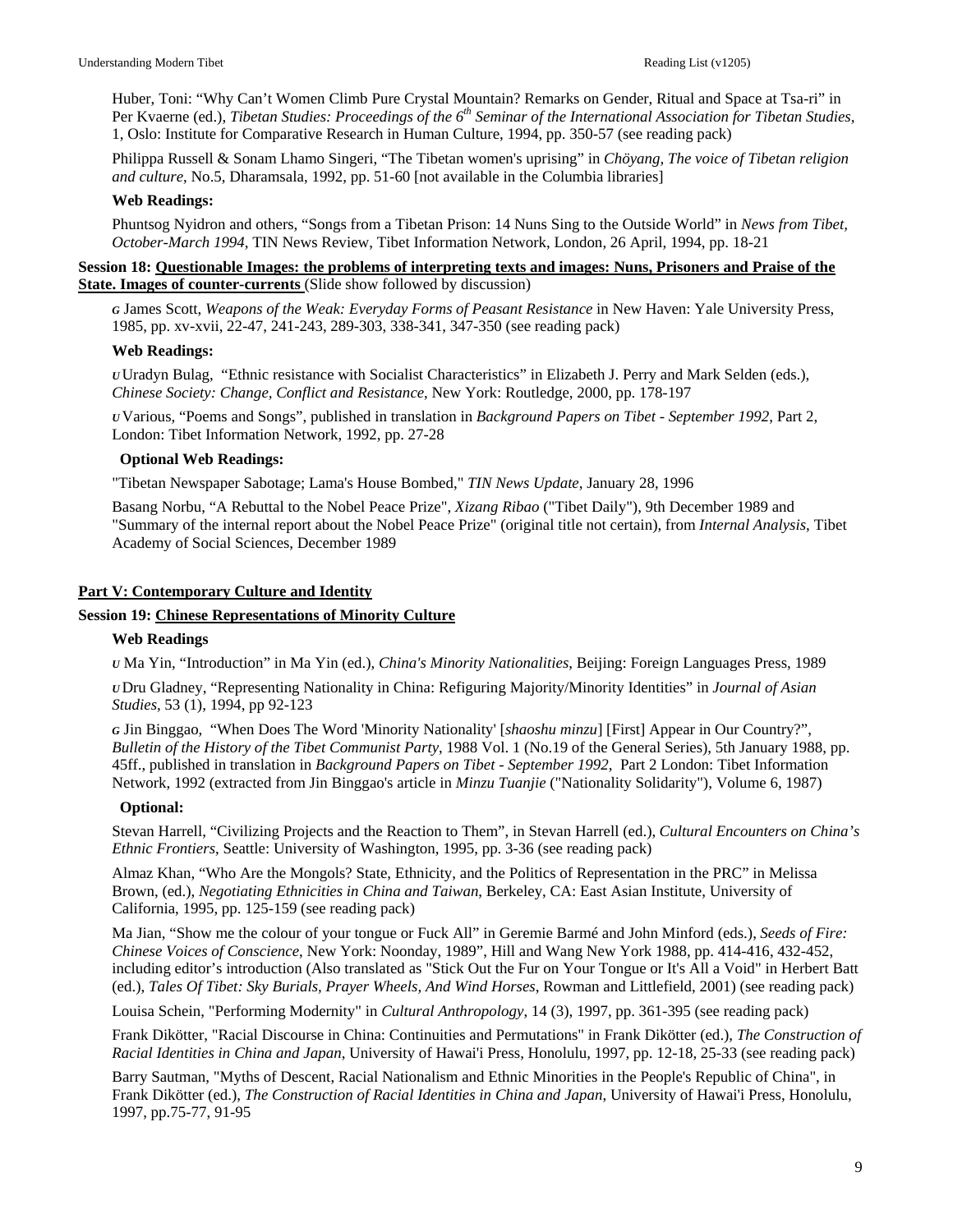Huber, Toni: "Why Can't Women Climb Pure Crystal Mountain? Remarks on Gender, Ritual and Space at Tsa-ri" in Per Kvaerne (ed.), *Tibetan Studies: Proceedings of the 6th Seminar of the International Association for Tibetan Studies*, 1, Oslo: Institute for Comparative Research in Human Culture, 1994, pp. 350-57 (see reading pack)

Philippa Russell & Sonam Lhamo Singeri, "The Tibetan women's uprising" in *Chöyang, The voice of Tibetan religion and culture*, No.5, Dharamsala, 1992, pp. 51-60 [not available in the Columbia libraries]

#### **Web Readings:**

Phuntsog Nyidron and others, "Songs from a Tibetan Prison: 14 Nuns Sing to the Outside World" in *News from Tibet, October-March 1994*, TIN News Review, Tibet Information Network, London, 26 April, 1994, pp. 18-21

#### **Session 18: Questionable Images: the problems of interpreting texts and images: Nuns, Prisoners and Praise of the State. Images of counter-currents** (Slide show followed by discussion)

*G* James Scott, *Weapons of the Weak: Everyday Forms of Peasant Resistance* in New Haven: Yale University Press, 1985, pp. xv-xvii, 22-47, 241-243, 289-303, 338-341, 347-350 (see reading pack)

#### **Web Readings:**

*U* Uradyn Bulag, "Ethnic resistance with Socialist Characteristics" in Elizabeth J. Perry and Mark Selden (eds.), *Chinese Society: Change, Conflict and Resistance*, New York: Routledge, 2000, pp. 178-197

*U* Various, "Poems and Songs", published in translation in *Background Papers on Tibet - September 1992*, Part 2, London: Tibet Information Network, 1992, pp. 27-28

#### **Optional Web Readings:**

"Tibetan Newspaper Sabotage; Lama's House Bombed," *TIN News Update*, January 28, 1996

Basang Norbu, "A Rebuttal to the Nobel Peace Prize", *Xizang Ribao* ("Tibet Daily"), 9th December 1989 and "Summary of the internal report about the Nobel Peace Prize" (original title not certain), from *Internal Analysis*, Tibet Academy of Social Sciences, December 1989

# **Part V: Contemporary Culture and Identity**

#### **Session 19: Chinese Representations of Minority Culture**

#### **Web Readings**

*U* Ma Yin, "Introduction" in Ma Yin (ed.), *China's Minority Nationalities*, Beijing: Foreign Languages Press, 1989

*U* Dru Gladney, "Representing Nationality in China: Refiguring Majority/Minority Identities" in *Journal of Asian Studies*, 53 (1), 1994, pp 92-123

*G* Jin Binggao, "When Does The Word 'Minority Nationality' [*shaoshu minzu*] [First] Appear in Our Country?", *Bulletin of the History of the Tibet Communist Party*, 1988 Vol. 1 (No.19 of the General Series), 5th January 1988, pp. 45ff., published in translation in *Background Papers on Tibet - September 1992*, Part 2 London: Tibet Information Network, 1992 (extracted from Jin Binggao's article in *Minzu Tuanjie* ("Nationality Solidarity"), Volume 6, 1987)

# **Optional:**

Stevan Harrell, "Civilizing Projects and the Reaction to Them", in Stevan Harrell (ed.), *Cultural Encounters on China's Ethnic Frontiers*, Seattle: University of Washington, 1995, pp. 3-36 (see reading pack)

Almaz Khan, "Who Are the Mongols? State, Ethnicity, and the Politics of Representation in the PRC" in Melissa Brown, (ed.), *Negotiating Ethnicities in China and Taiwan*, Berkeley, CA: East Asian Institute, University of California, 1995, pp. 125-159 (see reading pack)

Ma Jian, "Show me the colour of your tongue or Fuck All" in Geremie Barmé and John Minford (eds.), *Seeds of Fire: Chinese Voices of Conscience*, New York: Noonday, 1989", Hill and Wang New York 1988, pp. 414-416, 432-452, including editor's introduction (Also translated as "Stick Out the Fur on Your Tongue or It's All a Void" in Herbert Batt (ed.), *Tales Of Tibet: Sky Burials, Prayer Wheels, And Wind Horses*, Rowman and Littlefield, 2001) (see reading pack)

Louisa Schein, "Performing Modernity" in *Cultural Anthropology*, 14 (3), 1997, pp. 361-395 (see reading pack)

Frank Dikötter, "Racial Discourse in China: Continuities and Permutations" in Frank Dikötter (ed.), *The Construction of Racial Identities in China and Japan*, University of Hawai'i Press, Honolulu, 1997, pp. 12-18, 25-33 (see reading pack)

Barry Sautman, "Myths of Descent, Racial Nationalism and Ethnic Minorities in the People's Republic of China", in Frank Dikötter (ed.), *The Construction of Racial Identities in China and Japan*, University of Hawai'i Press, Honolulu, 1997, pp.75-77, 91-95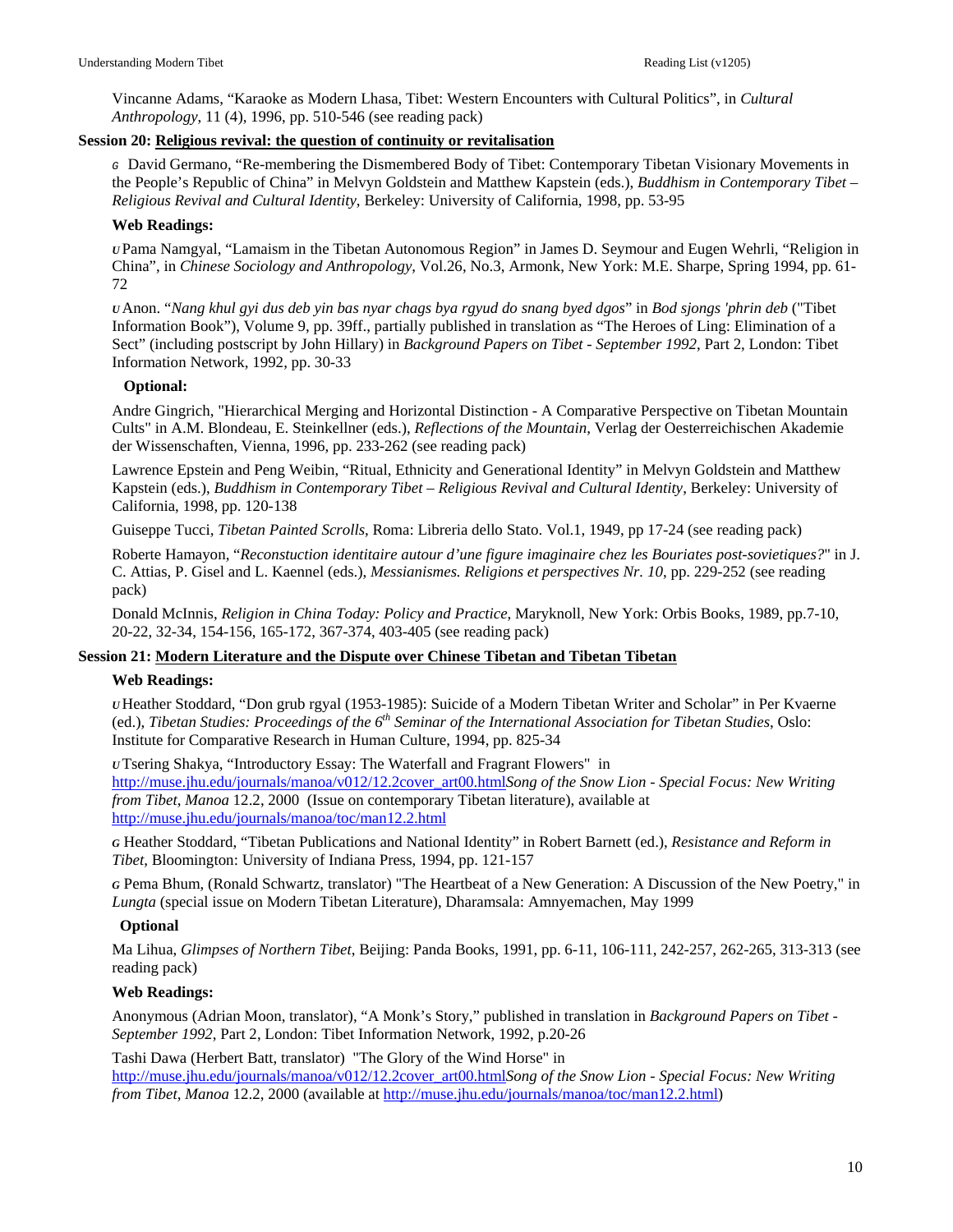Vincanne Adams, "Karaoke as Modern Lhasa, Tibet: Western Encounters with Cultural Politics", in *Cultural Anthropology*, 11 (4), 1996, pp. 510-546 (see reading pack)

# **Session 20: Religious revival: the question of continuity or revitalisation**

*G* David Germano, "Re-membering the Dismembered Body of Tibet: Contemporary Tibetan Visionary Movements in the People's Republic of China" in Melvyn Goldstein and Matthew Kapstein (eds.), *Buddhism in Contemporary Tibet – Religious Revival and Cultural Identity*, Berkeley: University of California, 1998, pp. 53-95

#### **Web Readings:**

*U* Pama Namgyal, "Lamaism in the Tibetan Autonomous Region" in James D. Seymour and Eugen Wehrli, "Religion in China", in *Chinese Sociology and Anthropology*, Vol.26, No.3, Armonk, New York: M.E. Sharpe, Spring 1994, pp. 61- 72

*U* Anon. "*Nang khul gyi dus deb yin bas nyar chags bya rgyud do snang byed dgos*" in *Bod sjongs 'phrin deb* ("Tibet Information Book"), Volume 9, pp. 39ff., partially published in translation as "The Heroes of Ling: Elimination of a Sect" (including postscript by John Hillary) in *Background Papers on Tibet - September 1992*, Part 2, London: Tibet Information Network, 1992, pp. 30-33

#### **Optional:**

Andre Gingrich, "Hierarchical Merging and Horizontal Distinction - A Comparative Perspective on Tibetan Mountain Cults" in A.M. Blondeau, E. Steinkellner (eds.), *Reflections of the Mountain*, Verlag der Oesterreichischen Akademie der Wissenschaften, Vienna, 1996, pp. 233-262 (see reading pack)

Lawrence Epstein and Peng Weibin, "Ritual, Ethnicity and Generational Identity" in Melvyn Goldstein and Matthew Kapstein (eds.), *Buddhism in Contemporary Tibet – Religious Revival and Cultural Identity*, Berkeley: University of California, 1998, pp. 120-138

Guiseppe Tucci, *Tibetan Painted Scrolls*, Roma: Libreria dello Stato. Vol.1, 1949, pp 17-24 (see reading pack)

Roberte Hamayon, "*Reconstuction identitaire autour d'une figure imaginaire chez les Bouriates post-sovietiques?*" in J. C. Attias, P. Gisel and L. Kaennel (eds.), *Messianismes. Religions et perspectives Nr. 10*, pp. 229-252 (see reading pack)

Donald McInnis, *Religion in China Today: Policy and Practice*, Maryknoll, New York: Orbis Books, 1989, pp.7-10, 20-22, 32-34, 154-156, 165-172, 367-374, 403-405 (see reading pack)

# **Session 21: Modern Literature and the Dispute over Chinese Tibetan and Tibetan Tibetan**

# **Web Readings:**

*U* Heather Stoddard, "Don grub rgyal (1953-1985): Suicide of a Modern Tibetan Writer and Scholar" in Per Kvaerne (ed.), *Tibetan Studies: Proceedings of the 6th Seminar of the International Association for Tibetan Studies*, Oslo: Institute for Comparative Research in Human Culture, 1994, pp. 825-34

*U* Tsering Shakya, "Introductory Essay: The Waterfall and Fragrant Flowers" in [http://muse.jhu.edu/journals/manoa/v012/12.2cover\\_art00.html](http://muse.jhu.edu/journals/manoa/v012/12.2cover_art00.html)*Song of the Snow Lion - Special Focus: New Writing from Tibet*, *Manoa* 12.2, 2000 (Issue on contemporary Tibetan literature), available at <http://muse.jhu.edu/journals/manoa/toc/man12.2.html>

*G* Heather Stoddard, "Tibetan Publications and National Identity" in Robert Barnett (ed.), *Resistance and Reform in Tibet*, Bloomington: University of Indiana Press, 1994, pp. 121-157

*G* Pema Bhum, (Ronald Schwartz, translator) "The Heartbeat of a New Generation: A Discussion of the New Poetry," in *Lungta* (special issue on Modern Tibetan Literature), Dharamsala: Amnyemachen, May 1999

# **Optional**

Ma Lihua, *Glimpses of Northern Tibet*, Beijing: Panda Books, 1991, pp. 6-11, 106-111, 242-257, 262-265, 313-313 (see reading pack)

# **Web Readings:**

Anonymous (Adrian Moon, translator), "A Monk's Story," published in translation in *Background Papers on Tibet - September 1992*, Part 2, London: Tibet Information Network, 1992, p.20-26

Tashi Dawa (Herbert Batt, translator) "The Glory of the Wind Horse" in

[http://muse.jhu.edu/journals/manoa/v012/12.2cover\\_art00.html](http://muse.jhu.edu/journals/manoa/v012/12.2cover_art00.html)*Song of the Snow Lion - Special Focus: New Writing from Tibet*, *Manoa* 12.2, 2000 (available at [http://muse.jhu.edu/journals/manoa/toc/man12.2.html\)](http://muse.jhu.edu/journals/manoa/toc/man12.2.html)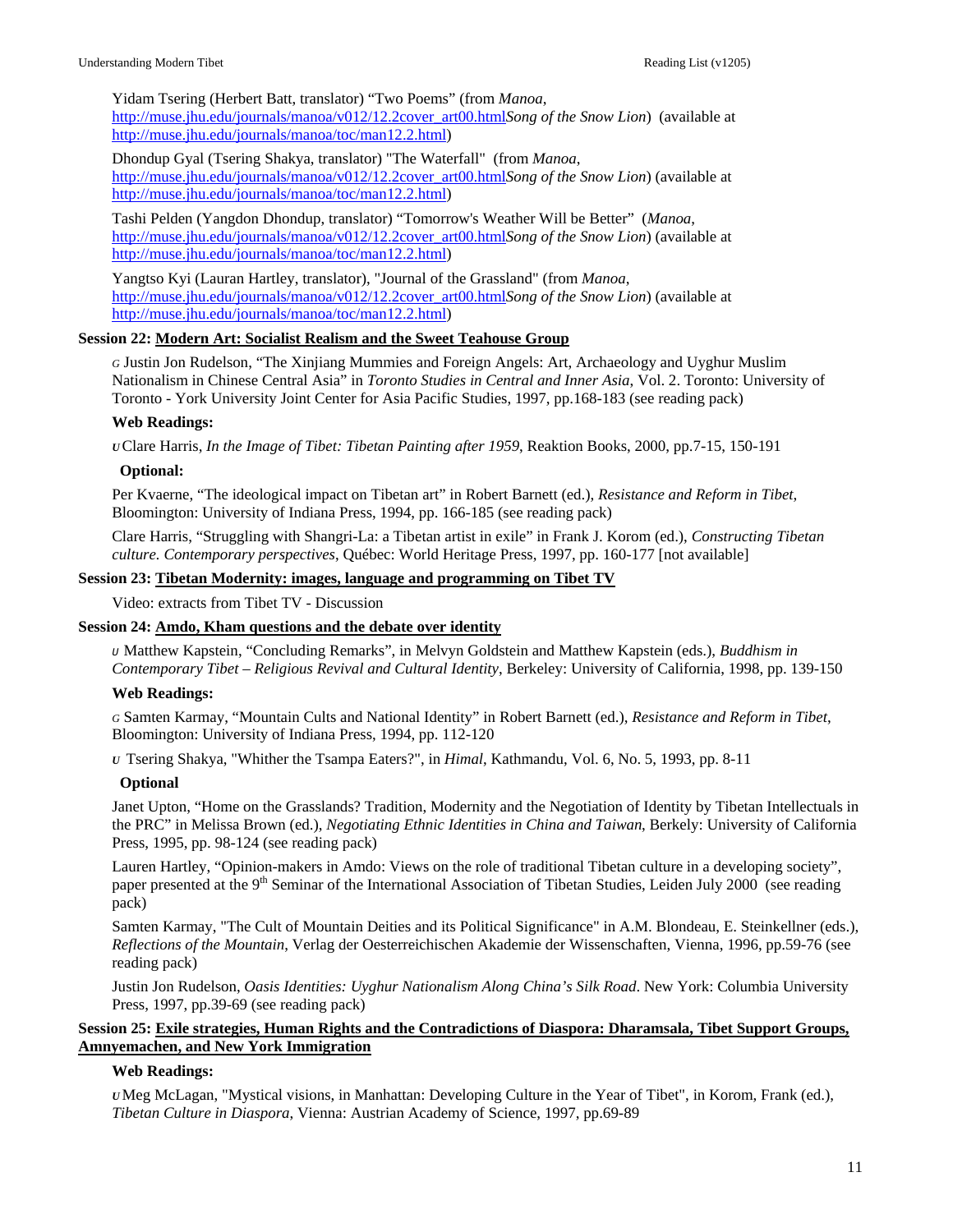Yidam Tsering (Herbert Batt, translator) "Two Poems" (from *Manoa*,

[http://muse.jhu.edu/journals/manoa/v012/12.2cover\\_art00.html](http://muse.jhu.edu/journals/manoa/v012/12.2cover_art00.html)*Song of the Snow Lion*) (available at [http://muse.jhu.edu/journals/manoa/toc/man12.2.html\)](http://muse.jhu.edu/journals/manoa/toc/man12.2.html)

Dhondup Gyal (Tsering Shakya, translator) "The Waterfall" (from *Manoa*, [http://muse.jhu.edu/journals/manoa/v012/12.2cover\\_art00.html](http://muse.jhu.edu/journals/manoa/v012/12.2cover_art00.html)*Song of the Snow Lion*) (available at [http://muse.jhu.edu/journals/manoa/toc/man12.2.html\)](http://muse.jhu.edu/journals/manoa/toc/man12.2.html)

Tashi Pelden (Yangdon Dhondup, translator) "Tomorrow's Weather Will be Better" (*Manoa*, [http://muse.jhu.edu/journals/manoa/v012/12.2cover\\_art00.html](http://muse.jhu.edu/journals/manoa/v012/12.2cover_art00.html)*Song of the Snow Lion*) (available at [http://muse.jhu.edu/journals/manoa/toc/man12.2.html\)](http://muse.jhu.edu/journals/manoa/toc/man12.2.html)

Yangtso Kyi (Lauran Hartley, translator), "Journal of the Grassland" (from *Manoa*, [http://muse.jhu.edu/journals/manoa/v012/12.2cover\\_art00.html](http://muse.jhu.edu/journals/manoa/v012/12.2cover_art00.html)*Song of the Snow Lion*) (available at [http://muse.jhu.edu/journals/manoa/toc/man12.2.html\)](http://muse.jhu.edu/journals/manoa/toc/man12.2.html)

#### **Session 22: Modern Art: Socialist Realism and the Sweet Teahouse Group**

*G* Justin Jon Rudelson, "The Xinjiang Mummies and Foreign Angels: Art, Archaeology and Uyghur Muslim Nationalism in Chinese Central Asia" in *Toronto Studies in Central and Inner Asia*, Vol. 2. Toronto: University of Toronto - York University Joint Center for Asia Pacific Studies, 1997, pp.168-183 (see reading pack)

#### **Web Readings:**

*U* Clare Harris, *In the Image of Tibet: Tibetan Painting after 1959*, Reaktion Books, 2000, pp.7-15, 150-191

#### **Optional:**

Per Kvaerne, "The ideological impact on Tibetan art" in Robert Barnett (ed.), *Resistance and Reform in Tibet*, Bloomington: University of Indiana Press, 1994, pp. 166-185 (see reading pack)

Clare Harris, "Struggling with Shangri-La: a Tibetan artist in exile" in Frank J. Korom (ed.), *Constructing Tibetan culture. Contemporary perspectives*, Québec: World Heritage Press, 1997, pp. 160-177 [not available]

#### **Session 23: Tibetan Modernity: images, language and programming on Tibet TV**

Video: extracts from Tibet TV - Discussion

# **Session 24: Amdo, Kham questions and the debate over identity**

*U* Matthew Kapstein, "Concluding Remarks", in Melvyn Goldstein and Matthew Kapstein (eds.), *Buddhism in Contemporary Tibet – Religious Revival and Cultural Identity*, Berkeley: University of California, 1998, pp. 139-150

# **Web Readings:**

*G* Samten Karmay, "Mountain Cults and National Identity" in Robert Barnett (ed.), *Resistance and Reform in Tibet*, Bloomington: University of Indiana Press, 1994, pp. 112-120

*U* Tsering Shakya, "Whither the Tsampa Eaters?", in *Himal*, Kathmandu, Vol. 6, No. 5, 1993, pp. 8-11

# **Optional**

Janet Upton, "Home on the Grasslands? Tradition, Modernity and the Negotiation of Identity by Tibetan Intellectuals in the PRC" in Melissa Brown (ed.), *Negotiating Ethnic Identities in China and Taiwan*, Berkely: University of California Press, 1995, pp. 98-124 (see reading pack)

Lauren Hartley, "Opinion-makers in Amdo: Views on the role of traditional Tibetan culture in a developing society", paper presented at the 9<sup>th</sup> Seminar of the International Association of Tibetan Studies, Leiden July 2000 (see reading pack)

Samten Karmay, "The Cult of Mountain Deities and its Political Significance" in A.M. Blondeau, E. Steinkellner (eds.), *Reflections of the Mountain*, Verlag der Oesterreichischen Akademie der Wissenschaften, Vienna, 1996, pp.59-76 (see reading pack)

Justin Jon Rudelson, *Oasis Identities: Uyghur Nationalism Along China's Silk Road*. New York: Columbia University Press, 1997, pp.39-69 (see reading pack)

# **Session 25: Exile strategies, Human Rights and the Contradictions of Diaspora: Dharamsala, Tibet Support Groups, Amnyemachen, and New York Immigration**

#### **Web Readings:**

*U*Meg McLagan, "Mystical visions, in Manhattan: Developing Culture in the Year of Tibet", in Korom, Frank (ed.), *Tibetan Culture in Diaspora*, Vienna: Austrian Academy of Science, 1997, pp.69-89